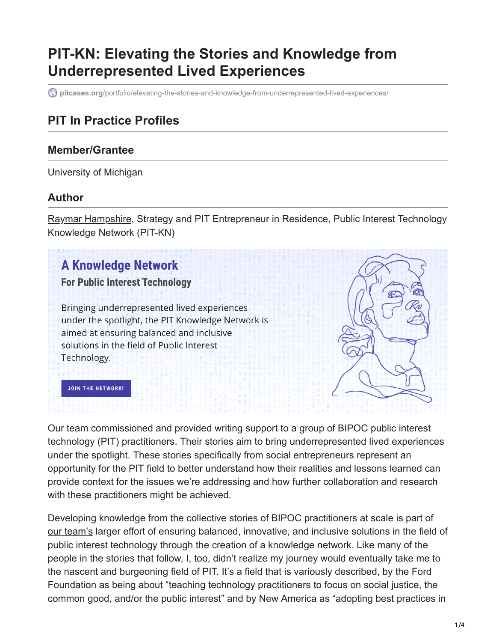# **PIT-KN: Elevating the Stories and Knowledge from Underrepresented Lived Experiences**

**pitcases.org**[/portfolio/elevating-the-stories-and-knowledge-from-underrepresented-lived-experiences/](https://pitcases.org/portfolio/elevating-the-stories-and-knowledge-from-underrepresented-lived-experiences/)

### **PIT In Practice Profiles**

#### **Member/Grantee**

University of Michigan

#### **Author**

[Raymar Hampshire](https://10.10.0.46/mailto:raymarh@umich.edu), Strategy and PIT Entrepreneur in Residence, Public Interest Technology Knowledge Network (PIT-KN)

## **A Knowledge Network**

#### **For Public Interest Technology**

Bringing underrepresented lived experiences under the spotlight, the PIT Knowledge Network is aimed at ensuring balanced and inclusive solutions in the field of Public Interest Technology.



Our team commissioned and provided writing support to a group of BIPOC public interest technology (PIT) practitioners. Their stories aim to bring underrepresented lived experiences under the spotlight. These stories specifically from social entrepreneurs represent an opportunity for the PIT field to better understand how their realities and lessons learned can provide context for the issues we're addressing and how further collaboration and research with these practitioners might be achieved.

Developing knowledge from the collective stories of BIPOC practitioners at scale is part of [our team's](https://midas.umich.edu/pitkn/) larger effort of ensuring balanced, innovative, and inclusive solutions in the field of public interest technology through the creation of a knowledge network. Like many of the people in the stories that follow, I, too, didn't realize my journey would eventually take me to the nascent and burgeoning field of PIT. It's a field that is variously described, by the Ford Foundation as being about "teaching technology practitioners to focus on social justice, the common good, and/or the public interest" and by New America as "adopting best practices in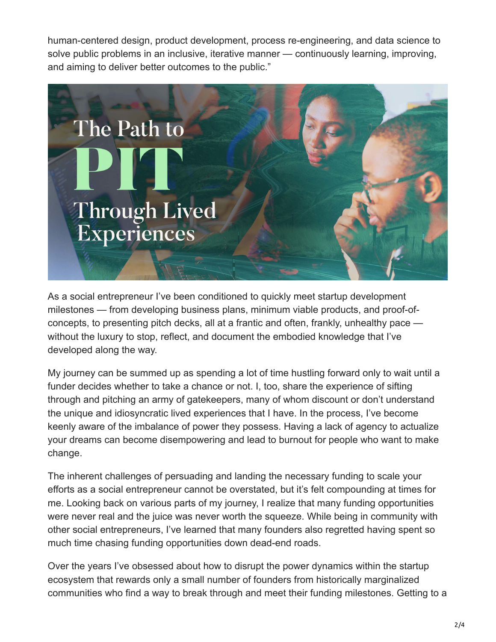human-centered design, product development, process re-engineering, and data science to solve public problems in an inclusive, iterative manner — continuously learning, improving, and aiming to deliver better outcomes to the public."



As a social entrepreneur I've been conditioned to quickly meet startup development milestones — from developing business plans, minimum viable products, and proof-ofconcepts, to presenting pitch decks, all at a frantic and often, frankly, unhealthy pace without the luxury to stop, reflect, and document the embodied knowledge that I've developed along the way.

My journey can be summed up as spending a lot of time hustling forward only to wait until a funder decides whether to take a chance or not. I, too, share the experience of sifting through and pitching an army of gatekeepers, many of whom discount or don't understand the unique and idiosyncratic lived experiences that I have. In the process, I've become keenly aware of the imbalance of power they possess. Having a lack of agency to actualize your dreams can become disempowering and lead to burnout for people who want to make change.

The inherent challenges of persuading and landing the necessary funding to scale your efforts as a social entrepreneur cannot be overstated, but it's felt compounding at times for me. Looking back on various parts of my journey, I realize that many funding opportunities were never real and the juice was never worth the squeeze. While being in community with other social entrepreneurs, I've learned that many founders also regretted having spent so much time chasing funding opportunities down dead-end roads.

Over the years I've obsessed about how to disrupt the power dynamics within the startup ecosystem that rewards only a small number of founders from historically marginalized communities who find a way to break through and meet their funding milestones. Getting to a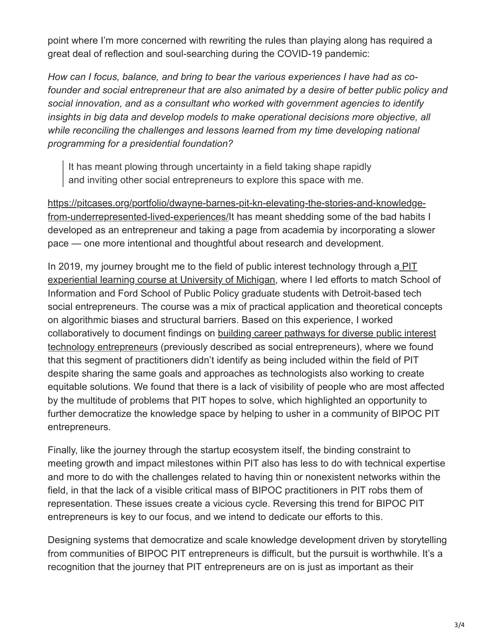point where I'm more concerned with rewriting the rules than playing along has required a great deal of reflection and soul-searching during the COVID-19 pandemic:

*How can I focus, balance, and bring to bear the various experiences I have had as cofounder and social entrepreneur that are also animated by a desire of better public policy and social innovation, and as a consultant who worked with government agencies to identify insights in big data and develop models to make operational decisions more objective, all while reconciling the challenges and lessons learned from my time developing national programming for a presidential foundation?*

It has meant plowing through uncertainty in a field taking shape rapidly and inviting other social entrepreneurs to explore this space with me.

https://pitcases.org/portfolio/dwayne-barnes-pit-kn-elevating-the-stories-and-knowledge[from-underrepresented-lived-experiences/It has meant shedding some of the bad habits](https://pitcases.org/portfolio/dwayne-barnes-pit-kn-elevating-the-stories-and-knowledge-from-underrepresented-lived-experiences/) I developed as an entrepreneur and taking a page from academia by incorporating a slower pace — one more intentional and thoughtful about research and development.

In 2019, my journey brought me to the field of public interest technology through a  $\overline{PI}$ experiential learning course at University of Michigan, where I led efforts to match School of Information and Ford School of Public Policy graduate students with Detroit-based tech social entrepreneurs. The course was a mix of practical application and theoretical concepts on algorithmic biases and structural barriers. Based on this experience, I worked [collaboratively to document findings on building career pathways for diverse public interest](https://www.newamerica.org/pit/reports/building-career-pathways-for-diverse-public-interest-technology-entrepreneurs/) technology entrepreneurs (previously described as social entrepreneurs), where we found that this segment of practitioners didn't identify as being included within the field of PIT despite sharing the same goals and approaches as technologists also working to create equitable solutions. We found that there is a lack of visibility of people who are most affected by the multitude of problems that PIT hopes to solve, which highlighted an opportunity to further democratize the knowledge space by helping to usher in a community of BIPOC PIT entrepreneurs.

Finally, like the journey through the startup ecosystem itself, the binding constraint to meeting growth and impact milestones within PIT also has less to do with technical expertise and more to do with the challenges related to having thin or nonexistent networks within the field, in that the lack of a visible critical mass of BIPOC practitioners in PIT robs them of representation. These issues create a vicious cycle. Reversing this trend for BIPOC PIT entrepreneurs is key to our focus, and we intend to dedicate our efforts to this.

Designing systems that democratize and scale knowledge development driven by storytelling from communities of BIPOC PIT entrepreneurs is difficult, but the pursuit is worthwhile. It's a recognition that the journey that PIT entrepreneurs are on is just as important as their